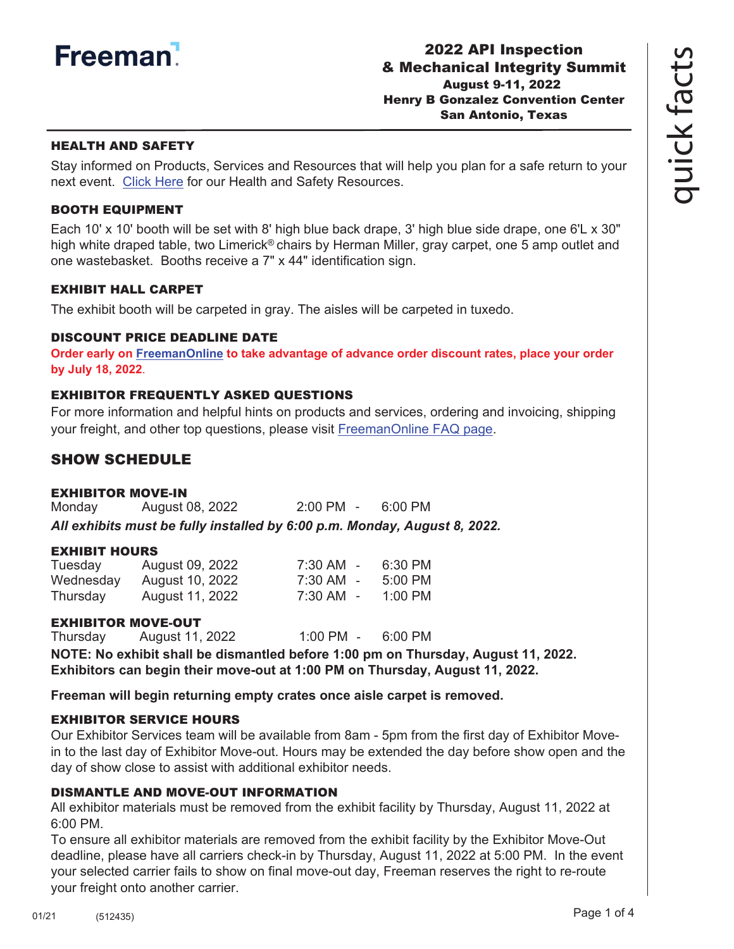

### HEALTH AND SAFETY

Stay informed on Products, Services and Resources that will help you plan for a safe return to your next event. [Click Here](https://www.freeman.com/resources/collection/how-to-safely-return-to-exhibiting) for our Health and Safety Resources.

### BOOTH EQUIPMENT

Each 10' x 10' booth will be set with 8' high blue back drape, 3' high blue side drape, one 6'L x 30" high white draped table, two Limerick® chairs by Herman Miller, gray carpet, one 5 amp outlet and one wastebasket. Booths receive a 7" x 44" identification sign.

### EXHIBIT HALL CARPET

The exhibit booth will be carpeted in gray. The aisles will be carpeted in tuxedo.

### DISCOUNT PRICE DEADLINE DATE

**Order early on [FreemanOnline](https://www.freemanco.com/store?utm_source=Forms&utm_medium=PDF) to take advantage of advance order discount rates, place your order by July 18, 2022**.

### EXHIBITOR FREQUENTLY ASKED QUESTIONS

For more information and helpful hints on products and services, ordering and invoicing, shipping your freight, and other top questions, please visit [FreemanOnline FAQ page.](https://www.freemanco.com/store/faqs)

## SHOW SCHEDULE

### EXHIBITOR MOVE-IN

Monday August 08, 2022 2:00 PM - 6:00 PM *All exhibits must be fully installed by 6:00 p.m. Monday, August 8, 2022.*

### EXHIBIT HOURS

| Tuesday   | August 09, 2022 | 7:30 AM - | 6:30 PM   |
|-----------|-----------------|-----------|-----------|
| Wednesday | August 10, 2022 | 7:30 AM - | $5:00$ PM |
| Thursday  | August 11, 2022 | 7:30 AM - | 1:00 PM   |

### EXHIBITOR MOVE-OUT

Thursday August 11, 2022 1:00 PM - 6:00 PM **NOTE: No exhibit shall be dismantled before 1:00 pm on Thursday, August 11, 2022.**

**Exhibitors can begin their move-out at 1:00 PM on Thursday, August 11, 2022.** 

**Freeman will begin returning empty crates once aisle carpet is removed.**

### EXHIBITOR SERVICE HOURS

Our Exhibitor Services team will be available from 8am - 5pm from the first day of Exhibitor Movein to the last day of Exhibitor Move-out. Hours may be extended the day before show open and the day of show close to assist with additional exhibitor needs.

### DISMANTLE AND MOVE-OUT INFORMATION

All exhibitor materials must be removed from the exhibit facility by Thursday, August 11, 2022 at 6:00 PM.

To ensure all exhibitor materials are removed from the exhibit facility by the Exhibitor Move-Out deadline, please have all carriers check-in by Thursday, August 11, 2022 at 5:00 PM. In the event your selected carrier fails to show on final move-out day, Freeman reserves the right to re-route your freight onto another carrier.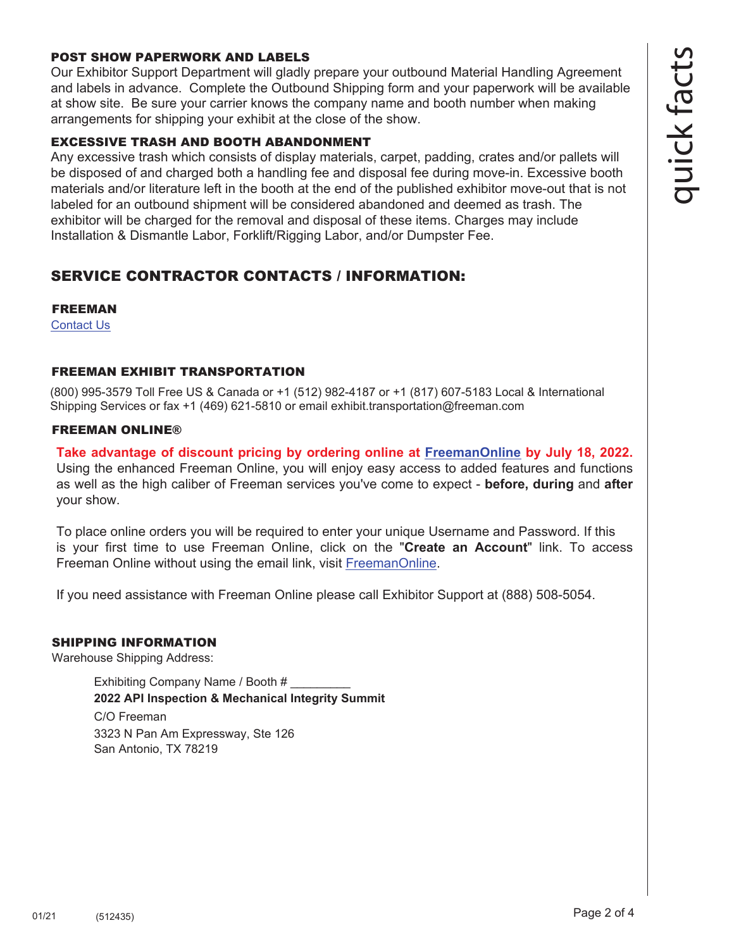# quick facts

### POST SHOW PAPERWORK AND LABELS

Our Exhibitor Support Department will gladly prepare your outbound Material Handling Agreement and labels in advance. Complete the Outbound Shipping form and your paperwork will be available at show site. Be sure your carrier knows the company name and booth number when making arrangements for shipping your exhibit at the close of the show.

### EXCESSIVE TRASH AND BOOTH ABANDONMENT

Any excessive trash which consists of display materials, carpet, padding, crates and/or pallets will be disposed of and charged both a handling fee and disposal fee during move-in. Excessive booth materials and/or literature left in the booth at the end of the published exhibitor move-out that is not labeled for an outbound shipment will be considered abandoned and deemed as trash. The exhibitor will be charged for the removal and disposal of these items. Charges may include Installation & Dismantle Labor, Forklift/Rigging Labor, and/or Dumpster Fee.

# SERVICE CONTRACTOR CONTACTS / INFORMATION:

FREEMAN

[Contact Us](https://www.freemanco.com/store/faqs#contactUS)

### FREEMAN EXHIBIT TRANSPORTATION

(800) 995-3579 Toll Free US & Canada or +1 (512) 982-4187 or +1 (817) 607-5183 Local & International Shipping Services or fax +1 (469) 621-5810 or email exhibit.transportation@freeman.com

### FREEMAN ONLINE®

**Take advantage of discount pricing by ordering online at [FreemanOnline](https://www.freemanco.com/store?utm_source=Forms&utm_medium=PDF) by July 18, 2022.** Using the enhanced Freeman Online, you will enjoy easy access to added features and functions as well as the high caliber of Freeman services you've come to expect - **before, during** and **after** your show.

To place online orders you will be required to enter your unique Username and Password. If this is your first time to use Freeman Online, click on the "**Create an Account**" link. To access Freeman Online without using the email link, visit [FreemanOnline](https://www.freemanco.com/store?utm_source=Forms&utm_medium=PDF).

If you need assistance with Freeman Online please call Exhibitor Support at (888) 508-5054.

### SHIPPING INFORMATION

Warehouse Shipping Address:

Exhibiting Company Name / Booth # **2022 API Inspection & Mechanical Integrity Summit** C/O Freeman 3323 N Pan Am Expressway, Ste 126 San Antonio, TX 78219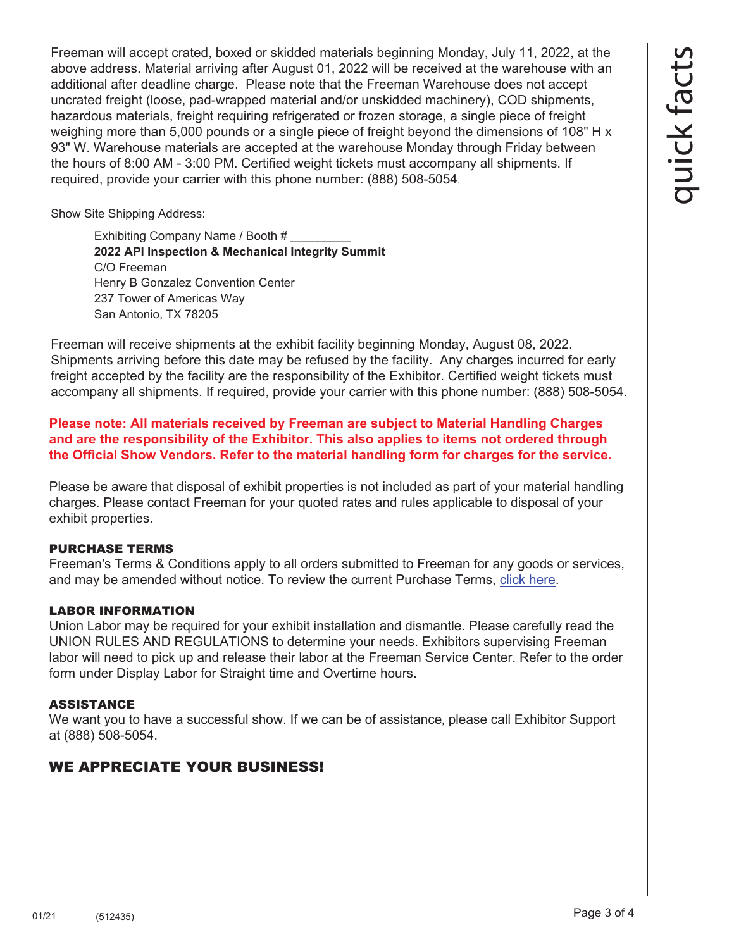Freeman will accept crated, boxed or skidded materials beginning Monday, July 11, 2022, at the above address. Material arriving after August 01, 2022 will be received at the warehouse with an additional after deadline charge. Please note that the Freeman Warehouse does not accept uncrated freight (loose, pad-wrapped material and/or unskidded machinery), COD shipments, hazardous materials, freight requiring refrigerated or frozen storage, a single piece of freight weighing more than 5,000 pounds or a single piece of freight beyond the dimensions of 108" H x 93" W. Warehouse materials are accepted at the warehouse Monday through Friday between the hours of 8:00 AM - 3:00 PM. Certified weight tickets must accompany all shipments. If required, provide your carrier with this phone number: (888) 508-5054.

Show Site Shipping Address:

Exhibiting Company Name / Booth # \_\_\_\_\_\_\_\_\_ **2022 API Inspection & Mechanical Integrity Summit** C/O Freeman Henry B Gonzalez Convention Center 237 Tower of Americas Way San Antonio, TX 78205

Freeman will receive shipments at the exhibit facility beginning Monday, August 08, 2022. Shipments arriving before this date may be refused by the facility. Any charges incurred for early freight accepted by the facility are the responsibility of the Exhibitor. Certified weight tickets must accompany all shipments. If required, provide your carrier with this phone number: (888) 508-5054.

**Please note: All materials received by Freeman are subject to Material Handling Charges and are the responsibility of the Exhibitor. This also applies to items not ordered through the Official Show Vendors. Refer to the material handling form for charges for the service.**

Please be aware that disposal of exhibit properties is not included as part of your material handling charges. Please contact Freeman for your quoted rates and rules applicable to disposal of your exhibit properties.

### PURCHASE TERMS

Freeman's Terms & Conditions apply to all orders submitted to Freeman for any goods or services, and may be amended without notice. To review the current Purchase Terms, [click here.](https://www.freemanco.com/store/footerPages/footerPagesProfileFrame.jsp?page=purchaseTerms&_ga=2.176437029.1419744130.1584226036-1715307741.1584226036)

### LABOR INFORMATION

Union Labor may be required for your exhibit installation and dismantle. Please carefully read the UNION RULES AND REGULATIONS to determine your needs. Exhibitors supervising Freeman labor will need to pick up and release their labor at the Freeman Service Center. Refer to the order form under Display Labor for Straight time and Overtime hours.

### ASSISTANCE

We want you to have a successful show. If we can be of assistance, please call Exhibitor Support at (888) 508-5054.

# WE APPRECIATE YOUR BUSINESS!